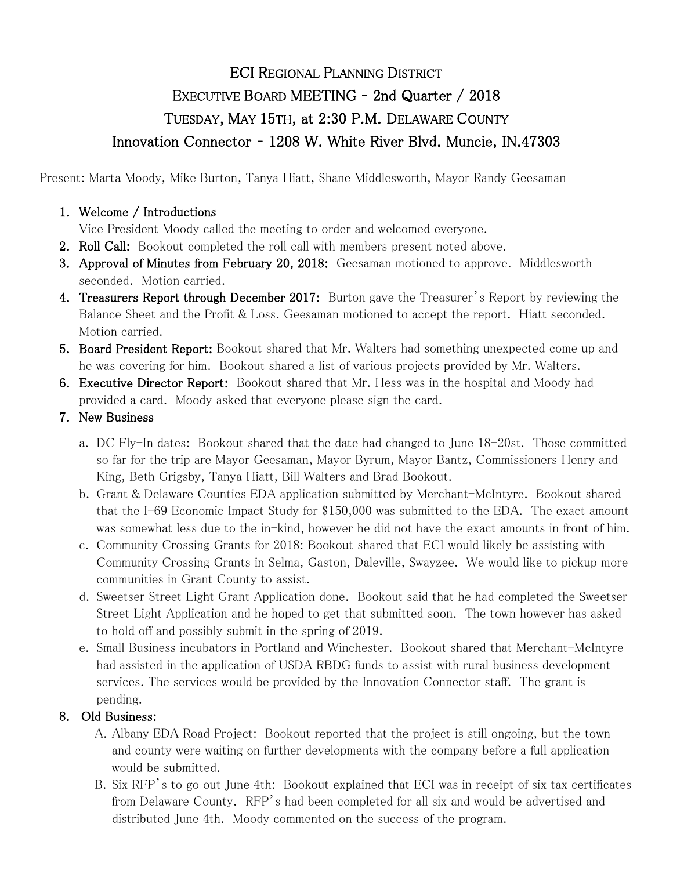## ECI REGIONAL PLANNING DISTRICT EXECUTIVE BOARD MEETING – 2nd Quarter / 2018 TUESDAY, MAY 15TH, at 2:30 P.M. DELAWARE COUNTY Innovation Connector – 1208 W. White River Blvd. Muncie, IN.47303

Present: Marta Moody, Mike Burton, Tanya Hiatt, Shane Middlesworth, Mayor Randy Geesaman

## 1. Welcome / Introductions

Vice President Moody called the meeting to order and welcomed everyone.

- 2. Roll Call: Bookout completed the roll call with members present noted above.
- 3. Approval of Minutes from February 20, 2018: Geesaman motioned to approve. Middlesworth seconded. Motion carried.
- 4. Treasurers Report through December 2017: Burton gave the Treasurer's Report by reviewing the Balance Sheet and the Profit & Loss. Geesaman motioned to accept the report. Hiatt seconded. Motion carried.
- **5. Board President Report:** Bookout shared that Mr. Walters had something unexpected come up and he was covering for him. Bookout shared a list of various projects provided by Mr. Walters.
- 6. Executive Director Report: Bookout shared that Mr. Hess was in the hospital and Moody had provided a card. Moody asked that everyone please sign the card.
- 7. New Business
	- a. DC Fly-In dates: Bookout shared that the date had changed to June 18-20st. Those committed so far for the trip are Mayor Geesaman, Mayor Byrum, Mayor Bantz, Commissioners Henry and King, Beth Grigsby, Tanya Hiatt, Bill Walters and Brad Bookout.
	- b. Grant & Delaware Counties EDA application submitted by Merchant-McIntyre. Bookout shared that the I-69 Economic Impact Study for \$150,000 was submitted to the EDA. The exact amount was somewhat less due to the in-kind, however he did not have the exact amounts in front of him.
	- c. Community Crossing Grants for 2018: Bookout shared that ECI would likely be assisting with Community Crossing Grants in Selma, Gaston, Daleville, Swayzee. We would like to pickup more communities in Grant County to assist.
	- d. Sweetser Street Light Grant Application done. Bookout said that he had completed the Sweetser Street Light Application and he hoped to get that submitted soon. The town however has asked to hold off and possibly submit in the spring of 2019.
	- e. Small Business incubators in Portland and Winchester. Bookout shared that Merchant-McIntyre had assisted in the application of USDA RBDG funds to assist with rural business development services. The services would be provided by the Innovation Connector staff. The grant is pending.

## 8. Old Business:

- A. Albany EDA Road Project: Bookout reported that the project is still ongoing, but the town and county were waiting on further developments with the company before a full application would be submitted.
- B. Six RFP's to go out June 4th: Bookout explained that ECI was in receipt of six tax certificates from Delaware County. RFP's had been completed for all six and would be advertised and distributed June 4th. Moody commented on the success of the program.